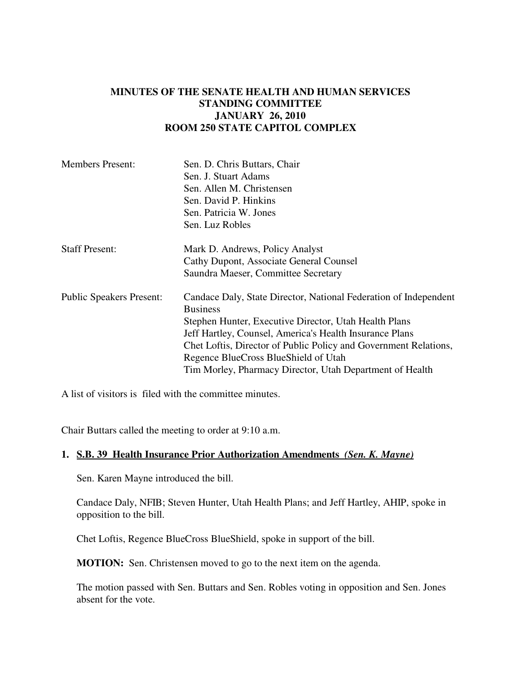## **MINUTES OF THE SENATE HEALTH AND HUMAN SERVICES STANDING COMMITTEE JANUARY 26, 2010 ROOM 250 STATE CAPITOL COMPLEX**

| <b>Members Present:</b>         | Sen. D. Chris Buttars, Chair                                     |
|---------------------------------|------------------------------------------------------------------|
|                                 | Sen. J. Stuart Adams                                             |
|                                 | Sen. Allen M. Christensen                                        |
|                                 | Sen. David P. Hinkins                                            |
|                                 | Sen. Patricia W. Jones                                           |
|                                 | Sen. Luz Robles                                                  |
| <b>Staff Present:</b>           | Mark D. Andrews, Policy Analyst                                  |
|                                 | Cathy Dupont, Associate General Counsel                          |
|                                 | Saundra Maeser, Committee Secretary                              |
| <b>Public Speakers Present:</b> | Candace Daly, State Director, National Federation of Independent |
|                                 | <b>Business</b>                                                  |
|                                 | Stephen Hunter, Executive Director, Utah Health Plans            |
|                                 | Jeff Hartley, Counsel, America's Health Insurance Plans          |
|                                 | Chet Loftis, Director of Public Policy and Government Relations, |
|                                 | Regence BlueCross BlueShield of Utah                             |
|                                 | Tim Morley, Pharmacy Director, Utah Department of Health         |

A list of visitors is filed with the committee minutes.

Chair Buttars called the meeting to order at 9:10 a.m.

## **1. S.B. 39 Health Insurance Prior Authorization Amendments** *(Sen. K. Mayne)*

Sen. Karen Mayne introduced the bill.

Candace Daly, NFIB; Steven Hunter, Utah Health Plans; and Jeff Hartley, AHIP, spoke in opposition to the bill.

Chet Loftis, Regence BlueCross BlueShield, spoke in support of the bill.

**MOTION:** Sen. Christensen moved to go to the next item on the agenda.

The motion passed with Sen. Buttars and Sen. Robles voting in opposition and Sen. Jones absent for the vote.